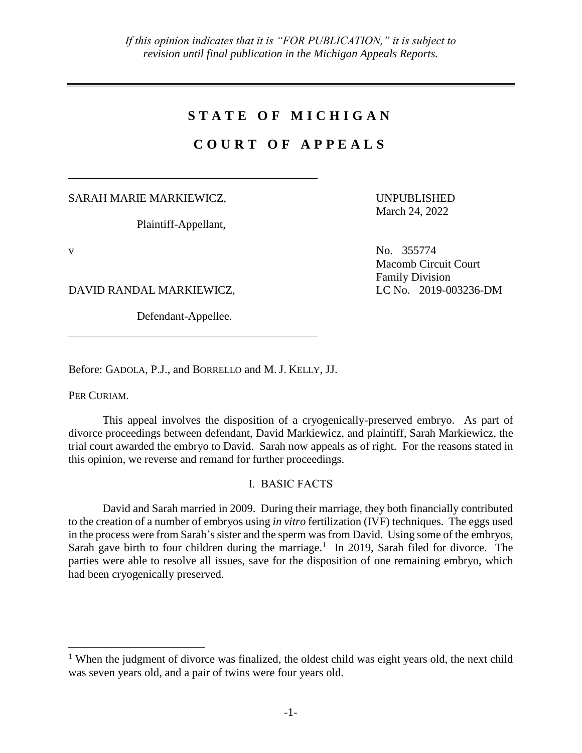# **S T A T E O F M I C H I G A N**

# **C O U R T O F A P P E A L S**

SARAH MARIE MARKIEWICZ,

Plaintiff-Appellant,

UNPUBLISHED March 24, 2022

Family Division

Macomb Circuit Court

v No. 355774

 $\overline{a}$ 

DAVID RANDAL MARKIEWICZ, LC No. 2019-003236-DM

Defendant-Appellee.

Before: GADOLA, P.J., and BORRELLO and M. J. KELLY, JJ.

PER CURIAM.

This appeal involves the disposition of a cryogenically-preserved embryo. As part of divorce proceedings between defendant, David Markiewicz, and plaintiff, Sarah Markiewicz, the trial court awarded the embryo to David. Sarah now appeals as of right. For the reasons stated in this opinion, we reverse and remand for further proceedings.

I. BASIC FACTS

David and Sarah married in 2009. During their marriage, they both financially contributed to the creation of a number of embryos using *in vitro* fertilization (IVF) techniques. The eggs used in the process were from Sarah's sister and the sperm was from David. Using some of the embryos, Sarah gave birth to four children during the marriage.<sup>1</sup> In 2019, Sarah filed for divorce. The parties were able to resolve all issues, save for the disposition of one remaining embryo, which had been cryogenically preserved.

<sup>&</sup>lt;sup>1</sup> When the judgment of divorce was finalized, the oldest child was eight years old, the next child was seven years old, and a pair of twins were four years old.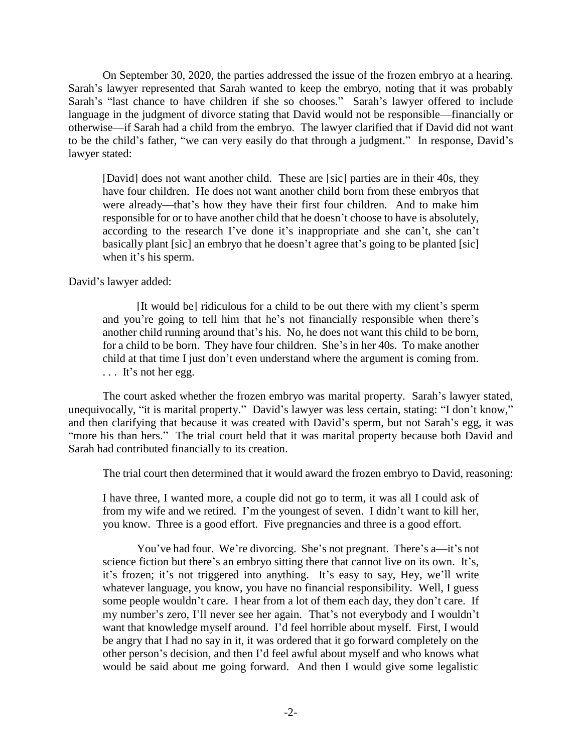On September 30, 2020, the parties addressed the issue of the frozen embryo at a hearing. Sarah's lawyer represented that Sarah wanted to keep the embryo, noting that it was probably Sarah's "last chance to have children if she so chooses." Sarah's lawyer offered to include language in the judgment of divorce stating that David would not be responsible—financially or otherwise—if Sarah had a child from the embryo. The lawyer clarified that if David did not want to be the child's father, "we can very easily do that through a judgment." In response, David's lawyer stated:

[David] does not want another child. These are [sic] parties are in their 40s, they have four children. He does not want another child born from these embryos that were already—that's how they have their first four children. And to make him responsible for or to have another child that he doesn't choose to have is absolutely, according to the research I've done it's inappropriate and she can't, she can't basically plant [sic] an embryo that he doesn't agree that's going to be planted [sic] when it's his sperm.

David's lawyer added:

[It would be] ridiculous for a child to be out there with my client's sperm and you're going to tell him that he's not financially responsible when there's another child running around that's his. No, he does not want this child to be born, for a child to be born. They have four children. She's in her 40s. To make another child at that time I just don't even understand where the argument is coming from. ... It's not her egg.

The court asked whether the frozen embryo was marital property. Sarah's lawyer stated, unequivocally, "it is marital property." David's lawyer was less certain, stating: "I don't know," and then clarifying that because it was created with David's sperm, but not Sarah's egg, it was "more his than hers." The trial court held that it was marital property because both David and Sarah had contributed financially to its creation.

The trial court then determined that it would award the frozen embryo to David, reasoning:

I have three, I wanted more, a couple did not go to term, it was all I could ask of from my wife and we retired. I'm the youngest of seven. I didn't want to kill her, you know. Three is a good effort. Five pregnancies and three is a good effort.

You've had four. We're divorcing. She's not pregnant. There's a—it's not science fiction but there's an embryo sitting there that cannot live on its own. It's, it's frozen; it's not triggered into anything. It's easy to say, Hey, we'll write whatever language, you know, you have no financial responsibility. Well, I guess some people wouldn't care. I hear from a lot of them each day, they don't care. If my number's zero, I'll never see her again. That's not everybody and I wouldn't want that knowledge myself around. I'd feel horrible about myself. First, I would be angry that I had no say in it, it was ordered that it go forward completely on the other person's decision, and then I'd feel awful about myself and who knows what would be said about me going forward. And then I would give some legalistic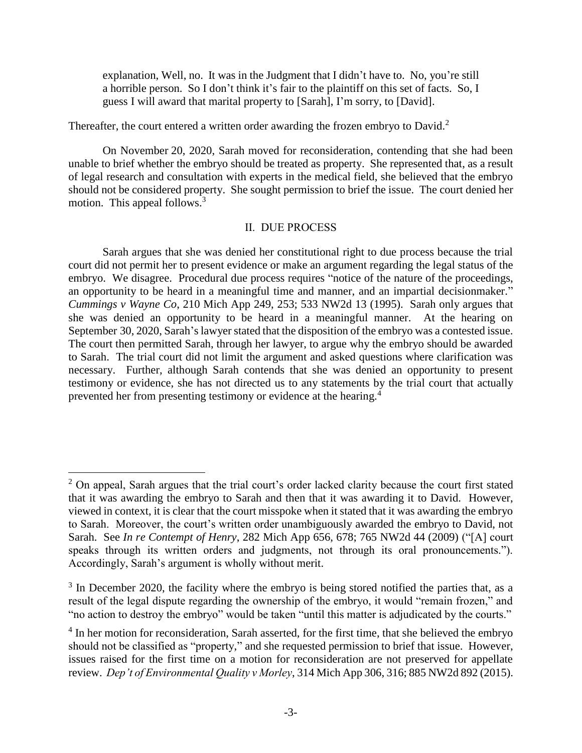explanation, Well, no. It was in the Judgment that I didn't have to. No, you're still a horrible person. So I don't think it's fair to the plaintiff on this set of facts. So, I guess I will award that marital property to [Sarah], I'm sorry, to [David].

Thereafter, the court entered a written order awarding the frozen embryo to David.<sup>2</sup>

On November 20, 2020, Sarah moved for reconsideration, contending that she had been unable to brief whether the embryo should be treated as property. She represented that, as a result of legal research and consultation with experts in the medical field, she believed that the embryo should not be considered property. She sought permission to brief the issue. The court denied her motion. This appeal follows.<sup>3</sup>

## II. DUE PROCESS

Sarah argues that she was denied her constitutional right to due process because the trial court did not permit her to present evidence or make an argument regarding the legal status of the embryo. We disagree. Procedural due process requires "notice of the nature of the proceedings, an opportunity to be heard in a meaningful time and manner, and an impartial decisionmaker." *Cummings v Wayne Co*, 210 Mich App 249, 253; 533 NW2d 13 (1995). Sarah only argues that she was denied an opportunity to be heard in a meaningful manner. At the hearing on September 30, 2020, Sarah's lawyer stated that the disposition of the embryo was a contested issue. The court then permitted Sarah, through her lawyer, to argue why the embryo should be awarded to Sarah. The trial court did not limit the argument and asked questions where clarification was necessary. Further, although Sarah contends that she was denied an opportunity to present testimony or evidence, she has not directed us to any statements by the trial court that actually prevented her from presenting testimony or evidence at the hearing.<sup>4</sup>

<sup>&</sup>lt;sup>2</sup> On appeal, Sarah argues that the trial court's order lacked clarity because the court first stated that it was awarding the embryo to Sarah and then that it was awarding it to David. However, viewed in context, it is clear that the court misspoke when it stated that it was awarding the embryo to Sarah. Moreover, the court's written order unambiguously awarded the embryo to David, not Sarah. See *In re Contempt of Henry*, 282 Mich App 656, 678; 765 NW2d 44 (2009) ("[A] court speaks through its written orders and judgments, not through its oral pronouncements."). Accordingly, Sarah's argument is wholly without merit.

 $3$  In December 2020, the facility where the embryo is being stored notified the parties that, as a result of the legal dispute regarding the ownership of the embryo, it would "remain frozen," and "no action to destroy the embryo" would be taken "until this matter is adjudicated by the courts."

<sup>&</sup>lt;sup>4</sup> In her motion for reconsideration, Sarah asserted, for the first time, that she believed the embryo should not be classified as "property," and she requested permission to brief that issue. However, issues raised for the first time on a motion for reconsideration are not preserved for appellate review. *Dep't of Environmental Quality v Morley*, 314 Mich App 306, 316; 885 NW2d 892 (2015).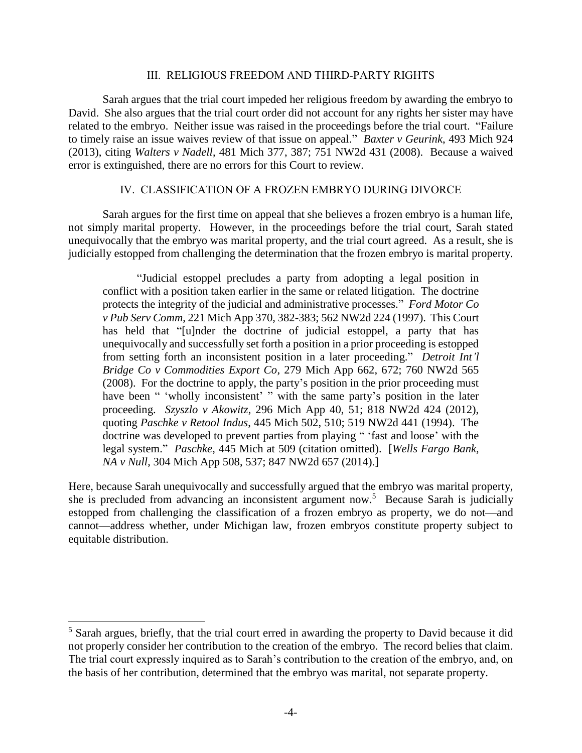#### III. RELIGIOUS FREEDOM AND THIRD-PARTY RIGHTS

Sarah argues that the trial court impeded her religious freedom by awarding the embryo to David. She also argues that the trial court order did not account for any rights her sister may have related to the embryo. Neither issue was raised in the proceedings before the trial court. "Failure to timely raise an issue waives review of that issue on appeal." *Baxter v Geurink*, 493 Mich 924 (2013), citing *Walters v Nadell*, 481 Mich 377, 387; 751 NW2d 431 (2008). Because a waived error is extinguished, there are no errors for this Court to review.

## IV. CLASSIFICATION OF A FROZEN EMBRYO DURING DIVORCE

Sarah argues for the first time on appeal that she believes a frozen embryo is a human life, not simply marital property. However, in the proceedings before the trial court, Sarah stated unequivocally that the embryo was marital property, and the trial court agreed. As a result, she is judicially estopped from challenging the determination that the frozen embryo is marital property.

"Judicial estoppel precludes a party from adopting a legal position in conflict with a position taken earlier in the same or related litigation. The doctrine protects the integrity of the judicial and administrative processes." *Ford Motor Co v Pub Serv Comm*, 221 Mich App 370, 382-383; 562 NW2d 224 (1997). This Court has held that "[u]nder the doctrine of judicial estoppel, a party that has unequivocally and successfully set forth a position in a prior proceeding is estopped from setting forth an inconsistent position in a later proceeding." *Detroit Int'l Bridge Co v Commodities Export Co*, 279 Mich App 662, 672; 760 NW2d 565 (2008). For the doctrine to apply, the party's position in the prior proceeding must have been " 'wholly inconsistent' " with the same party's position in the later proceeding. *Szyszlo v Akowitz*, 296 Mich App 40, 51; 818 NW2d 424 (2012), quoting *Paschke v Retool Indus*, 445 Mich 502, 510; 519 NW2d 441 (1994). The doctrine was developed to prevent parties from playing " 'fast and loose' with the legal system." *Paschke*, 445 Mich at 509 (citation omitted). [*Wells Fargo Bank, NA v Null*, 304 Mich App 508, 537; 847 NW2d 657 (2014).]

Here, because Sarah unequivocally and successfully argued that the embryo was marital property, she is precluded from advancing an inconsistent argument now.<sup>5</sup> Because Sarah is judicially estopped from challenging the classification of a frozen embryo as property, we do not—and cannot—address whether, under Michigan law, frozen embryos constitute property subject to equitable distribution.

<sup>&</sup>lt;sup>5</sup> Sarah argues, briefly, that the trial court erred in awarding the property to David because it did not properly consider her contribution to the creation of the embryo. The record belies that claim. The trial court expressly inquired as to Sarah's contribution to the creation of the embryo, and, on the basis of her contribution, determined that the embryo was marital, not separate property.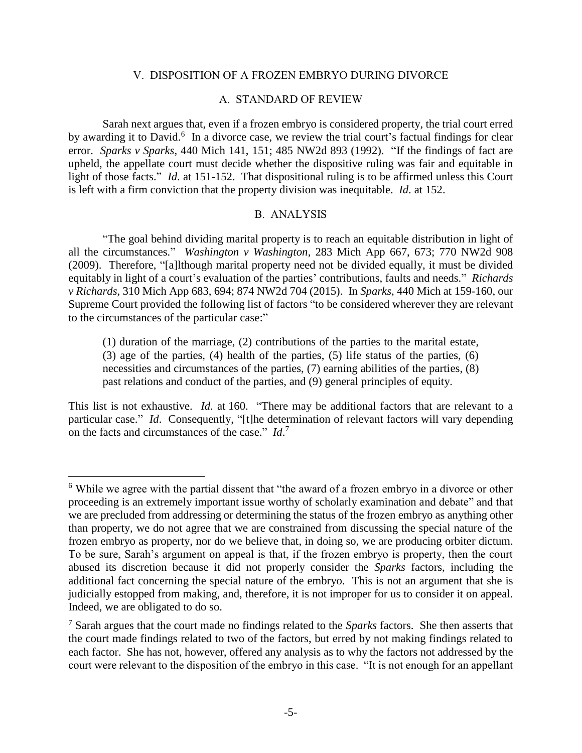#### V. DISPOSITION OF A FROZEN EMBRYO DURING DIVORCE

### A. STANDARD OF REVIEW

Sarah next argues that, even if a frozen embryo is considered property, the trial court erred by awarding it to David.<sup>6</sup> In a divorce case, we review the trial court's factual findings for clear error. *Sparks v Sparks*, 440 Mich 141, 151; 485 NW2d 893 (1992). "If the findings of fact are upheld, the appellate court must decide whether the dispositive ruling was fair and equitable in light of those facts." *Id*. at 151-152. That dispositional ruling is to be affirmed unless this Court is left with a firm conviction that the property division was inequitable. *Id*. at 152.

## B. ANALYSIS

"The goal behind dividing marital property is to reach an equitable distribution in light of all the circumstances." *Washington v Washington*, 283 Mich App 667, 673; 770 NW2d 908 (2009). Therefore, "[a]lthough marital property need not be divided equally, it must be divided equitably in light of a court's evaluation of the parties' contributions, faults and needs." *Richards v Richards*, 310 Mich App 683, 694; 874 NW2d 704 (2015). In *Sparks*, 440 Mich at 159-160, our Supreme Court provided the following list of factors "to be considered wherever they are relevant to the circumstances of the particular case:"

(1) duration of the marriage, (2) contributions of the parties to the marital estate, (3) age of the parties, (4) health of the parties, (5) life status of the parties, (6) necessities and circumstances of the parties, (7) earning abilities of the parties, (8) past relations and conduct of the parties, and (9) general principles of equity.

This list is not exhaustive. *Id*. at 160. "There may be additional factors that are relevant to a particular case." *Id*. Consequently, "[t]he determination of relevant factors will vary depending on the facts and circumstances of the case." *Id*. 7

<sup>6</sup> While we agree with the partial dissent that "the award of a frozen embryo in a divorce or other proceeding is an extremely important issue worthy of scholarly examination and debate" and that we are precluded from addressing or determining the status of the frozen embryo as anything other than property, we do not agree that we are constrained from discussing the special nature of the frozen embryo as property, nor do we believe that, in doing so, we are producing orbiter dictum. To be sure, Sarah's argument on appeal is that, if the frozen embryo is property, then the court abused its discretion because it did not properly consider the *Sparks* factors, including the additional fact concerning the special nature of the embryo. This is not an argument that she is judicially estopped from making, and, therefore, it is not improper for us to consider it on appeal. Indeed, we are obligated to do so.

<sup>7</sup> Sarah argues that the court made no findings related to the *Sparks* factors. She then asserts that the court made findings related to two of the factors, but erred by not making findings related to each factor. She has not, however, offered any analysis as to why the factors not addressed by the court were relevant to the disposition of the embryo in this case. "It is not enough for an appellant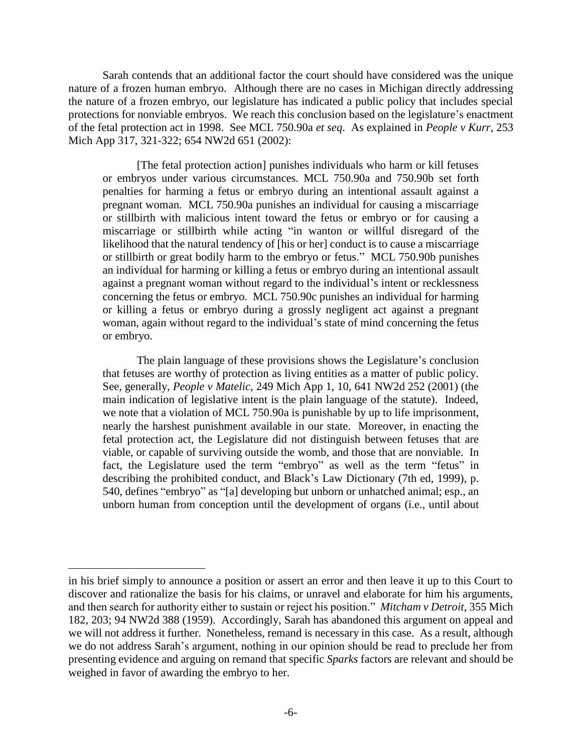Sarah contends that an additional factor the court should have considered was the unique nature of a frozen human embryo. Although there are no cases in Michigan directly addressing the nature of a frozen embryo, our legislature has indicated a public policy that includes special protections for nonviable embryos. We reach this conclusion based on the legislature's enactment of the fetal protection act in 1998. See MCL 750.90a *et seq*. As explained in *People v Kurr*, 253 Mich App 317, 321-322; 654 NW2d 651 (2002):

[The fetal protection action] punishes individuals who harm or kill fetuses or embryos under various circumstances. MCL 750.90a and 750.90b set forth penalties for harming a fetus or embryo during an intentional assault against a pregnant woman. MCL 750.90a punishes an individual for causing a miscarriage or stillbirth with malicious intent toward the fetus or embryo or for causing a miscarriage or stillbirth while acting "in wanton or willful disregard of the likelihood that the natural tendency of [his or her] conduct is to cause a miscarriage or stillbirth or great bodily harm to the embryo or fetus." MCL 750.90b punishes an individual for harming or killing a fetus or embryo during an intentional assault against a pregnant woman without regard to the individual's intent or recklessness concerning the fetus or embryo. MCL 750.90c punishes an individual for harming or killing a fetus or embryo during a grossly negligent act against a pregnant woman, again without regard to the individual's state of mind concerning the fetus or embryo.

The plain language of these provisions shows the Legislature's conclusion that fetuses are worthy of protection as living entities as a matter of public policy. See, generally, *People v Matelic*, 249 Mich App 1, 10, 641 NW2d 252 (2001) (the main indication of legislative intent is the plain language of the statute). Indeed, we note that a violation of MCL 750.90a is punishable by up to life imprisonment, nearly the harshest punishment available in our state. Moreover, in enacting the fetal protection act, the Legislature did not distinguish between fetuses that are viable, or capable of surviving outside the womb, and those that are nonviable. In fact, the Legislature used the term "embryo" as well as the term "fetus" in describing the prohibited conduct, and Black's Law Dictionary (7th ed, 1999), p. 540, defines "embryo" as "[a] developing but unborn or unhatched animal; esp., an unborn human from conception until the development of organs (i.e., until about

in his brief simply to announce a position or assert an error and then leave it up to this Court to discover and rationalize the basis for his claims, or unravel and elaborate for him his arguments, and then search for authority either to sustain or reject his position." *Mitcham v Detroit*, 355 Mich 182, 203; 94 NW2d 388 (1959). Accordingly, Sarah has abandoned this argument on appeal and we will not address it further. Nonetheless, remand is necessary in this case. As a result, although we do not address Sarah's argument, nothing in our opinion should be read to preclude her from presenting evidence and arguing on remand that specific *Sparks* factors are relevant and should be weighed in favor of awarding the embryo to her.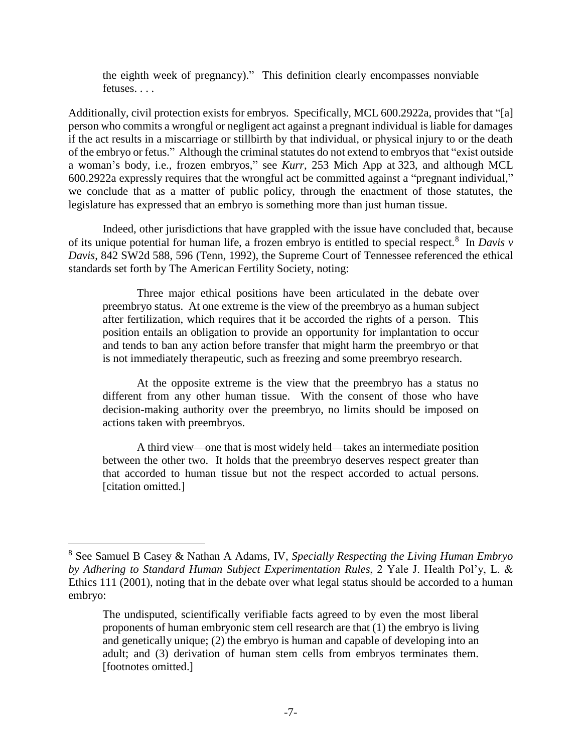the eighth week of pregnancy)." This definition clearly encompasses nonviable fetuses. . . .

Additionally, civil protection exists for embryos. Specifically, MCL 600.2922a, provides that "[a] person who commits a wrongful or negligent act against a pregnant individual is liable for damages if the act results in a miscarriage or stillbirth by that individual, or physical injury to or the death of the embryo or fetus." Although the criminal statutes do not extend to embryos that "exist outside a woman's body, i.e., frozen embryos," see *Kurr*, 253 Mich App at 323, and although MCL 600.2922a expressly requires that the wrongful act be committed against a "pregnant individual," we conclude that as a matter of public policy, through the enactment of those statutes, the legislature has expressed that an embryo is something more than just human tissue.

Indeed, other jurisdictions that have grappled with the issue have concluded that, because of its unique potential for human life, a frozen embryo is entitled to special respect.<sup>8</sup> In *Davis v Davis*, 842 SW2d 588, 596 (Tenn, 1992), the Supreme Court of Tennessee referenced the ethical standards set forth by The American Fertility Society, noting:

Three major ethical positions have been articulated in the debate over preembryo status. At one extreme is the view of the preembryo as a human subject after fertilization, which requires that it be accorded the rights of a person. This position entails an obligation to provide an opportunity for implantation to occur and tends to ban any action before transfer that might harm the preembryo or that is not immediately therapeutic, such as freezing and some preembryo research.

At the opposite extreme is the view that the preembryo has a status no different from any other human tissue. With the consent of those who have decision-making authority over the preembryo, no limits should be imposed on actions taken with preembryos.

A third view—one that is most widely held—takes an intermediate position between the other two. It holds that the preembryo deserves respect greater than that accorded to human tissue but not the respect accorded to actual persons. [citation omitted.]

<sup>8</sup> See Samuel B Casey & Nathan A Adams, IV, *Specially Respecting the Living Human Embryo by Adhering to Standard Human Subject Experimentation Rules*, 2 Yale J. Health Pol'y, L. & Ethics 111 (2001), noting that in the debate over what legal status should be accorded to a human embryo:

The undisputed, scientifically verifiable facts agreed to by even the most liberal proponents of human embryonic stem cell research are that (1) the embryo is living and genetically unique; (2) the embryo is human and capable of developing into an adult; and (3) derivation of human stem cells from embryos terminates them. [footnotes omitted.]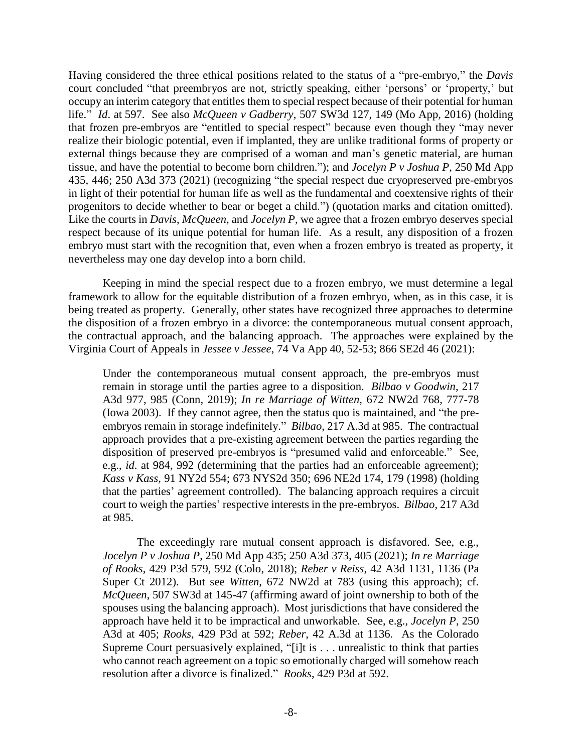Having considered the three ethical positions related to the status of a "pre-embryo," the *Davis* court concluded "that preembryos are not, strictly speaking, either 'persons' or 'property,' but occupy an interim category that entitles them to special respect because of their potential for human life." *Id*. at 597. See also *McQueen v Gadberry*, 507 SW3d 127, 149 (Mo App, 2016) (holding that frozen pre-embryos are "entitled to special respect" because even though they "may never realize their biologic potential, even if implanted, they are unlike traditional forms of property or external things because they are comprised of a woman and man's genetic material, are human tissue, and have the potential to become born children."); and *Jocelyn P v Joshua P*, 250 Md App 435, 446; 250 A3d 373 (2021) (recognizing "the special respect due cryopreserved pre-embryos in light of their potential for human life as well as the fundamental and coextensive rights of their progenitors to decide whether to bear or beget a child.") (quotation marks and citation omitted). Like the courts in *Davis*, *McQueen*, and *Jocelyn P*, we agree that a frozen embryo deserves special respect because of its unique potential for human life. As a result, any disposition of a frozen embryo must start with the recognition that, even when a frozen embryo is treated as property, it nevertheless may one day develop into a born child.

Keeping in mind the special respect due to a frozen embryo, we must determine a legal framework to allow for the equitable distribution of a frozen embryo, when, as in this case, it is being treated as property. Generally, other states have recognized three approaches to determine the disposition of a frozen embryo in a divorce: the contemporaneous mutual consent approach, the contractual approach, and the balancing approach. The approaches were explained by the Virginia Court of Appeals in *Jessee v Jessee*, 74 Va App 40, 52-53; 866 SE2d 46 (2021):

Under the contemporaneous mutual consent approach, the pre-embryos must remain in storage until the parties agree to a disposition. *Bilbao v Goodwin*, 217 A3d 977, 985 (Conn, 2019); *In re Marriage of Witten*, 672 NW2d 768, 777-78 (Iowa 2003). If they cannot agree, then the status quo is maintained, and "the preembryos remain in storage indefinitely." *Bilbao*, 217 A.3d at 985. The contractual approach provides that a pre-existing agreement between the parties regarding the disposition of preserved pre-embryos is "presumed valid and enforceable." See, e.g., *id*. at 984, 992 (determining that the parties had an enforceable agreement); *Kass v Kass*, 91 NY2d 554; 673 NYS2d 350; 696 NE2d 174, 179 (1998) (holding that the parties' agreement controlled). The balancing approach requires a circuit court to weigh the parties' respective interests in the pre-embryos. *Bilbao*, 217 A3d at 985.

The exceedingly rare mutual consent approach is disfavored. See, e.g., *Jocelyn P v Joshua P*, 250 Md App 435; 250 A3d 373, 405 (2021); *In re Marriage of Rooks*, 429 P3d 579, 592 (Colo, 2018); *Reber v Reiss*, 42 A3d 1131, 1136 (Pa Super Ct 2012). But see *Witten*, 672 NW2d at 783 (using this approach); cf. *McQueen*, 507 SW3d at 145-47 (affirming award of joint ownership to both of the spouses using the balancing approach). Most jurisdictions that have considered the approach have held it to be impractical and unworkable. See, e.g., *Jocelyn P*, 250 A3d at 405; *Rooks*, 429 P3d at 592; *Reber*, 42 A.3d at 1136. As the Colorado Supreme Court persuasively explained, "[i]t is . . . unrealistic to think that parties who cannot reach agreement on a topic so emotionally charged will somehow reach resolution after a divorce is finalized." *Rooks*, 429 P3d at 592.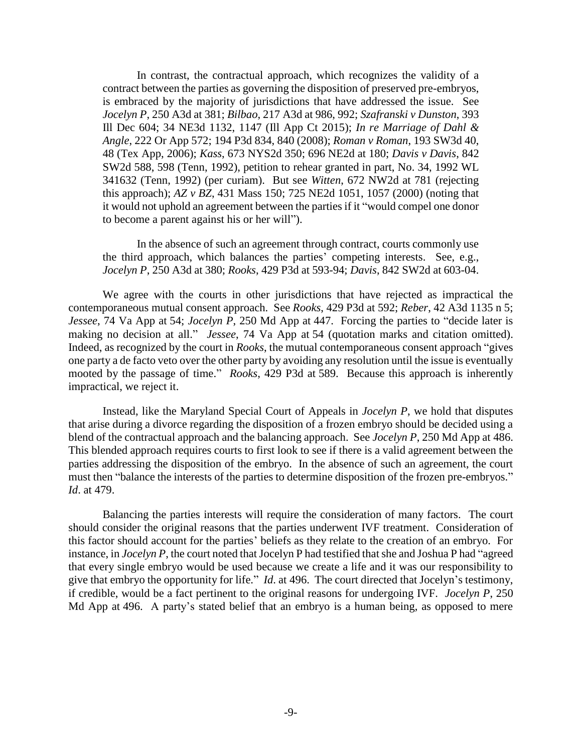In contrast, the contractual approach, which recognizes the validity of a contract between the parties as governing the disposition of preserved pre-embryos, is embraced by the majority of jurisdictions that have addressed the issue. See *Jocelyn P*, 250 A3d at 381; *Bilbao*, 217 A3d at 986, 992; *Szafranski v Dunston*, 393 Ill Dec 604; 34 NE3d 1132, 1147 (Ill App Ct 2015); *In re Marriage of Dahl & Angle*, 222 Or App 572; 194 P3d 834, 840 (2008); *Roman v Roman*, 193 SW3d 40, 48 (Tex App, 2006); *Kass*, 673 NYS2d 350; 696 NE2d at 180; *Davis v Davis*, 842 SW2d 588, 598 (Tenn, 1992), petition to rehear granted in part, No. 34, 1992 WL 341632 (Tenn, 1992) (per curiam). But see *Witten*, 672 NW2d at 781 (rejecting this approach); *AZ v BZ*, 431 Mass 150; 725 NE2d 1051, 1057 (2000) (noting that it would not uphold an agreement between the parties if it "would compel one donor to become a parent against his or her will").

In the absence of such an agreement through contract, courts commonly use the third approach, which balances the parties' competing interests. See, e.g., *Jocelyn P*, 250 A3d at 380; *Rooks*, 429 P3d at 593-94; *Davis*, 842 SW2d at 603-04.

We agree with the courts in other jurisdictions that have rejected as impractical the contemporaneous mutual consent approach. See *Rooks*, 429 P3d at 592; *Reber*, 42 A3d 1135 n 5; *Jessee*, 74 Va App at 54; *Jocelyn P*, 250 Md App at 447. Forcing the parties to "decide later is making no decision at all." *Jessee*, 74 Va App at 54 (quotation marks and citation omitted). Indeed, as recognized by the court in *Rooks*, the mutual contemporaneous consent approach "gives one party a de facto veto over the other party by avoiding any resolution until the issue is eventually mooted by the passage of time." *Rooks*, 429 P3d at 589. Because this approach is inherently impractical, we reject it.

Instead, like the Maryland Special Court of Appeals in *Jocelyn P*, we hold that disputes that arise during a divorce regarding the disposition of a frozen embryo should be decided using a blend of the contractual approach and the balancing approach. See *Jocelyn P*, 250 Md App at 486. This blended approach requires courts to first look to see if there is a valid agreement between the parties addressing the disposition of the embryo. In the absence of such an agreement, the court must then "balance the interests of the parties to determine disposition of the frozen pre-embryos." *Id*. at 479.

Balancing the parties interests will require the consideration of many factors. The court should consider the original reasons that the parties underwent IVF treatment. Consideration of this factor should account for the parties' beliefs as they relate to the creation of an embryo. For instance, in *Jocelyn P*, the court noted that Jocelyn P had testified that she and Joshua P had "agreed that every single embryo would be used because we create a life and it was our responsibility to give that embryo the opportunity for life." *Id*. at 496. The court directed that Jocelyn's testimony, if credible, would be a fact pertinent to the original reasons for undergoing IVF. *Jocelyn P*, 250 Md App at 496. A party's stated belief that an embryo is a human being, as opposed to mere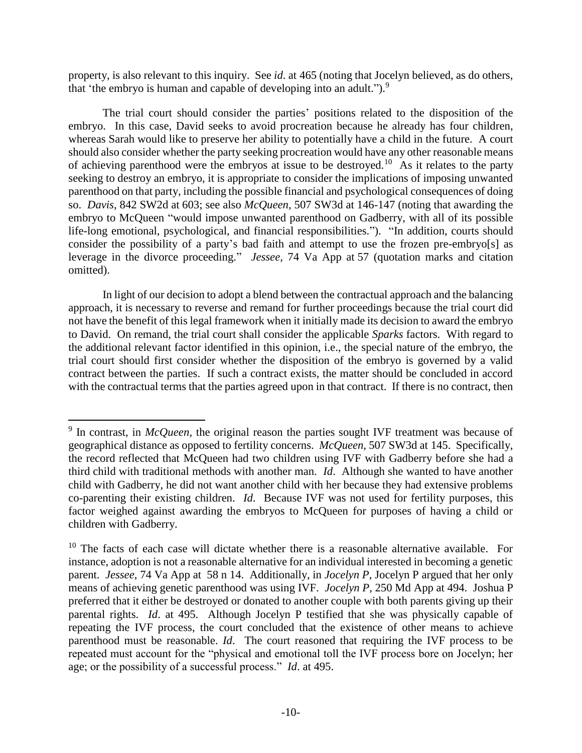property, is also relevant to this inquiry. See *id*. at 465 (noting that Jocelyn believed, as do others, that 'the embryo is human and capable of developing into an adult.").<sup>9</sup>

The trial court should consider the parties' positions related to the disposition of the embryo. In this case, David seeks to avoid procreation because he already has four children, whereas Sarah would like to preserve her ability to potentially have a child in the future. A court should also consider whether the party seeking procreation would have any other reasonable means of achieving parenthood were the embryos at issue to be destroyed.<sup>10</sup> As it relates to the party seeking to destroy an embryo, it is appropriate to consider the implications of imposing unwanted parenthood on that party, including the possible financial and psychological consequences of doing so. *Davis*, 842 SW2d at 603; see also *McQueen*, 507 SW3d at 146-147 (noting that awarding the embryo to McQueen "would impose unwanted parenthood on Gadberry, with all of its possible life-long emotional, psychological, and financial responsibilities."). "In addition, courts should consider the possibility of a party's bad faith and attempt to use the frozen pre-embryo[s] as leverage in the divorce proceeding." *Jessee*, 74 Va App at 57 (quotation marks and citation omitted).

In light of our decision to adopt a blend between the contractual approach and the balancing approach, it is necessary to reverse and remand for further proceedings because the trial court did not have the benefit of this legal framework when it initially made its decision to award the embryo to David. On remand, the trial court shall consider the applicable *Sparks* factors. With regard to the additional relevant factor identified in this opinion, i.e., the special nature of the embryo, the trial court should first consider whether the disposition of the embryo is governed by a valid contract between the parties. If such a contract exists, the matter should be concluded in accord with the contractual terms that the parties agreed upon in that contract. If there is no contract, then

<sup>&</sup>lt;sup>9</sup> In contrast, in *McQueen*, the original reason the parties sought IVF treatment was because of geographical distance as opposed to fertility concerns. *McQueen*, 507 SW3d at 145. Specifically, the record reflected that McQueen had two children using IVF with Gadberry before she had a third child with traditional methods with another man. *Id*. Although she wanted to have another child with Gadberry, he did not want another child with her because they had extensive problems co-parenting their existing children. *Id*. Because IVF was not used for fertility purposes, this factor weighed against awarding the embryos to McQueen for purposes of having a child or children with Gadberry.

 $10$  The facts of each case will dictate whether there is a reasonable alternative available. For instance, adoption is not a reasonable alternative for an individual interested in becoming a genetic parent. *Jessee*, 74 Va App at 58 n 14. Additionally, in *Jocelyn P*, Jocelyn P argued that her only means of achieving genetic parenthood was using IVF. *Jocelyn P*, 250 Md App at 494. Joshua P preferred that it either be destroyed or donated to another couple with both parents giving up their parental rights. *Id*. at 495. Although Jocelyn P testified that she was physically capable of repeating the IVF process, the court concluded that the existence of other means to achieve parenthood must be reasonable. *Id*. The court reasoned that requiring the IVF process to be repeated must account for the "physical and emotional toll the IVF process bore on Jocelyn; her age; or the possibility of a successful process." *Id*. at 495.